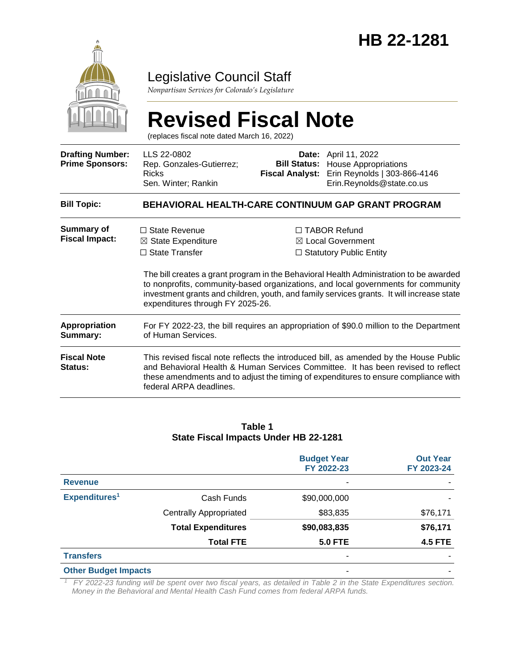

### Legislative Council Staff

*Nonpartisan Services for Colorado's Legislature*

# **Revised Fiscal Note**

(replaces fiscal note dated March 16, 2022)

| <b>Drafting Number:</b><br><b>Prime Sponsors:</b> | LLS 22-0802<br>Rep. Gonzales-Gutierrez;<br><b>Ricks</b><br>Sen. Winter; Rankin                                                                                                                                                                                                              | <b>Fiscal Analyst:</b> | <b>Date:</b> April 11, 2022<br><b>Bill Status:</b> House Appropriations<br>Erin Reynolds   303-866-4146<br>Erin.Reynolds@state.co.us                                                                                                                                                                                                                    |  |  |  |  |
|---------------------------------------------------|---------------------------------------------------------------------------------------------------------------------------------------------------------------------------------------------------------------------------------------------------------------------------------------------|------------------------|---------------------------------------------------------------------------------------------------------------------------------------------------------------------------------------------------------------------------------------------------------------------------------------------------------------------------------------------------------|--|--|--|--|
| <b>Bill Topic:</b>                                | BEHAVIORAL HEALTH-CARE CONTINUUM GAP GRANT PROGRAM                                                                                                                                                                                                                                          |                        |                                                                                                                                                                                                                                                                                                                                                         |  |  |  |  |
| <b>Summary of</b><br><b>Fiscal Impact:</b>        | $\Box$ State Revenue<br>$\boxtimes$ State Expenditure<br>$\Box$ State Transfer<br>expenditures through FY 2025-26.                                                                                                                                                                          |                        | $\Box$ TABOR Refund<br>⊠ Local Government<br>$\Box$ Statutory Public Entity<br>The bill creates a grant program in the Behavioral Health Administration to be awarded<br>to nonprofits, community-based organizations, and local governments for community<br>investment grants and children, youth, and family services grants. It will increase state |  |  |  |  |
| Appropriation<br>Summary:                         | For FY 2022-23, the bill requires an appropriation of \$90.0 million to the Department<br>of Human Services.                                                                                                                                                                                |                        |                                                                                                                                                                                                                                                                                                                                                         |  |  |  |  |
| <b>Fiscal Note</b><br>Status:                     | This revised fiscal note reflects the introduced bill, as amended by the House Public<br>and Behavioral Health & Human Services Committee. It has been revised to reflect<br>these amendments and to adjust the timing of expenditures to ensure compliance with<br>federal ARPA deadlines. |                        |                                                                                                                                                                                                                                                                                                                                                         |  |  |  |  |

#### **Table 1 State Fiscal Impacts Under HB 22-1281**

|                             |                               | <b>Budget Year</b><br>FY 2022-23 | <b>Out Year</b><br>FY 2023-24 |
|-----------------------------|-------------------------------|----------------------------------|-------------------------------|
| <b>Revenue</b>              |                               | ٠                                |                               |
| Expenditures <sup>1</sup>   | Cash Funds                    | \$90,000,000                     |                               |
|                             | <b>Centrally Appropriated</b> | \$83,835                         | \$76,171                      |
|                             | <b>Total Expenditures</b>     | \$90,083,835                     | \$76,171                      |
|                             | <b>Total FTE</b>              | <b>5.0 FTE</b>                   | <b>4.5 FTE</b>                |
| <b>Transfers</b>            |                               | ٠                                |                               |
| <b>Other Budget Impacts</b> |                               |                                  |                               |

*<sup>1</sup> FY 2022-23 funding will be spent over two fiscal years, as detailed in Table 2 in the State Expenditures section. Money in the Behavioral and Mental Health Cash Fund comes from federal ARPA funds.*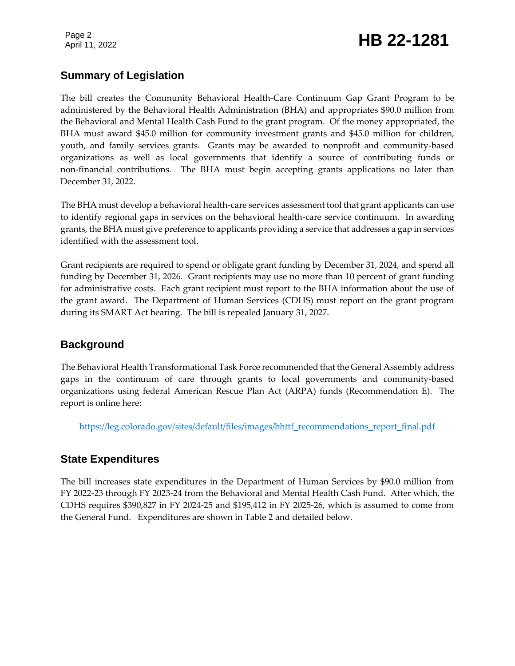Page 2

## Page 2<br>April 11, 2022 **HB 22-1281**

### **Summary of Legislation**

The bill creates the Community Behavioral Health-Care Continuum Gap Grant Program to be administered by the Behavioral Health Administration (BHA) and appropriates \$90.0 million from the Behavioral and Mental Health Cash Fund to the grant program. Of the money appropriated, the BHA must award \$45.0 million for community investment grants and \$45.0 million for children, youth, and family services grants. Grants may be awarded to nonprofit and community-based organizations as well as local governments that identify a source of contributing funds or non-financial contributions. The BHA must begin accepting grants applications no later than December 31, 2022.

The BHA must develop a behavioral health-care services assessment tool that grant applicants can use to identify regional gaps in services on the behavioral health-care service continuum. In awarding grants, the BHA must give preference to applicants providing a service that addresses a gap in services identified with the assessment tool.

Grant recipients are required to spend or obligate grant funding by December 31, 2024, and spend all funding by December 31, 2026. Grant recipients may use no more than 10 percent of grant funding for administrative costs. Each grant recipient must report to the BHA information about the use of the grant award. The Department of Human Services (CDHS) must report on the grant program during its SMART Act hearing. The bill is repealed January 31, 2027.

### **Background**

The Behavioral Health Transformational Task Force recommended that the General Assembly address gaps in the continuum of care through grants to local governments and community-based organizations using federal American Rescue Plan Act (ARPA) funds (Recommendation E). The report is online here:

[https://leg.colorado.gov/sites/default/files/images/bhttf\\_recommendations\\_report\\_final.pdf](https://leg.colorado.gov/sites/default/files/images/bhttf_recommendations_report_final.pdf)

### **State Expenditures**

The bill increases state expenditures in the Department of Human Services by \$90.0 million from FY 2022-23 through FY 2023-24 from the Behavioral and Mental Health Cash Fund. After which, the CDHS requires \$390,827 in FY 2024-25 and \$195,412 in FY 2025-26, which is assumed to come from the General Fund. Expenditures are shown in Table 2 and detailed below.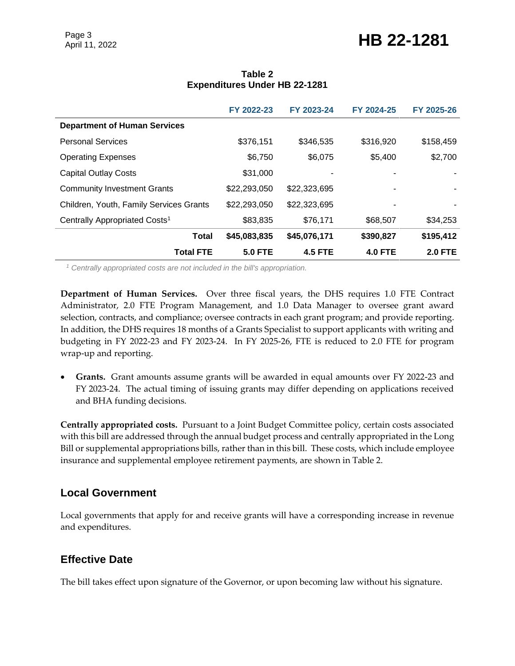## Page 3<br>April 11, 2022 **HB 22-1281**

|                                           | FY 2022-23     | FY 2023-24     | FY 2024-25     | FY 2025-26     |
|-------------------------------------------|----------------|----------------|----------------|----------------|
| <b>Department of Human Services</b>       |                |                |                |                |
| <b>Personal Services</b>                  | \$376,151      | \$346,535      | \$316,920      | \$158,459      |
| <b>Operating Expenses</b>                 | \$6,750        | \$6,075        | \$5,400        | \$2,700        |
| <b>Capital Outlay Costs</b>               | \$31,000       |                |                |                |
| <b>Community Investment Grants</b>        | \$22,293,050   | \$22,323,695   |                |                |
| Children, Youth, Family Services Grants   | \$22,293,050   | \$22,323,695   |                |                |
| Centrally Appropriated Costs <sup>1</sup> | \$83,835       | \$76,171       | \$68,507       | \$34,253       |
| <b>Total</b>                              | \$45,083,835   | \$45,076,171   | \$390,827      | \$195,412      |
| <b>Total FTE</b>                          | <b>5.0 FTE</b> | <b>4.5 FTE</b> | <b>4.0 FTE</b> | <b>2.0 FTE</b> |

### **Table 2 Expenditures Under HB 22-1281**

*<sup>1</sup> Centrally appropriated costs are not included in the bill's appropriation.*

**Department of Human Services.** Over three fiscal years, the DHS requires 1.0 FTE Contract Administrator, 2.0 FTE Program Management, and 1.0 Data Manager to oversee grant award selection, contracts, and compliance; oversee contracts in each grant program; and provide reporting. In addition, the DHS requires 18 months of a Grants Specialist to support applicants with writing and budgeting in FY 2022-23 and FY 2023-24. In FY 2025-26, FTE is reduced to 2.0 FTE for program wrap-up and reporting.

 **Grants.** Grant amounts assume grants will be awarded in equal amounts over FY 2022-23 and FY 2023-24. The actual timing of issuing grants may differ depending on applications received and BHA funding decisions.

**Centrally appropriated costs.** Pursuant to a Joint Budget Committee policy, certain costs associated with this bill are addressed through the annual budget process and centrally appropriated in the Long Bill or supplemental appropriations bills, rather than in this bill. These costs, which include employee insurance and supplemental employee retirement payments, are shown in Table 2.

### **Local Government**

Local governments that apply for and receive grants will have a corresponding increase in revenue and expenditures.

### **Effective Date**

The bill takes effect upon signature of the Governor, or upon becoming law without his signature.